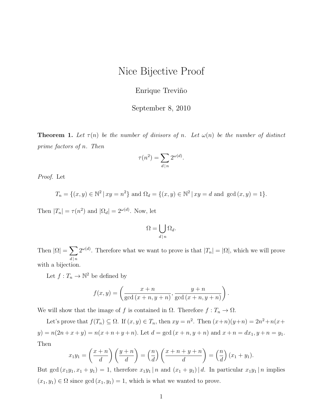## Nice Bijective Proof

## Enrique Treviño

## September 8, 2010

**Theorem 1.** Let  $\tau(n)$  be the number of divisors of n. Let  $\omega(n)$  be the number of distinct prime factors of n. Then

$$
\tau(n^2) = \sum_{d|n} 2^{\omega(d)}.
$$

Proof. Let

$$
T_n = \{(x, y) \in \mathbb{N}^2 | xy = n^2\}
$$
 and  $\Omega_d = \{(x, y) \in \mathbb{N}^2 | xy = d \text{ and } \gcd(x, y) = 1\}.$ 

Then  $|T_n| = \tau(n^2)$  and  $|\Omega_d| = 2^{\omega(d)}$ . Now, let

$$
\Omega = \bigcup_{d \mid n} \Omega_d.
$$

Then  $|\Omega| = \sum$  $d\,|\,n$  $2^{\omega(d)}$ . Therefore what we want to prove is that  $|T_n| = |\Omega|$ , which we will prove with a bijection.

Let  $f: T_n \to \mathbb{N}^2$  be defined by

$$
f(x,y) = \left(\frac{x+n}{\gcd(x+n,y+n)}, \frac{y+n}{\gcd(x+n,y+n)}\right).
$$

We will show that the image of f is contained in  $\Omega$ . Therefore  $f: T_n \to \Omega$ .

Let's prove that  $f(T_n) \subseteq \Omega$ . If  $(x, y) \in T_n$ , then  $xy = n^2$ . Then  $(x+n)(y+n) = 2n^2 + n(x+n)$  $y) = n(2n + x + y) = n(x + n + y + n)$ . Let  $d = \gcd(x + n, y + n)$  and  $x + n = dx_1, y + n = y_1$ . Then

$$
x_1y_1 = \left(\frac{x+n}{d}\right)\left(\frac{y+n}{d}\right) = \left(\frac{n}{d}\right)\left(\frac{x+n+y+n}{d}\right) = \left(\frac{n}{d}\right)(x_1+y_1).
$$

But gcd  $(x_1y_1, x_1 + y_1) = 1$ , therefore  $x_1y_1 | n$  and  $(x_1 + y_1) | d$ . In particular  $x_1y_1 | n$  implies  $(x_1, y_1) \in \Omega$  since  $gcd(x_1, y_1) = 1$ , which is what we wanted to prove.